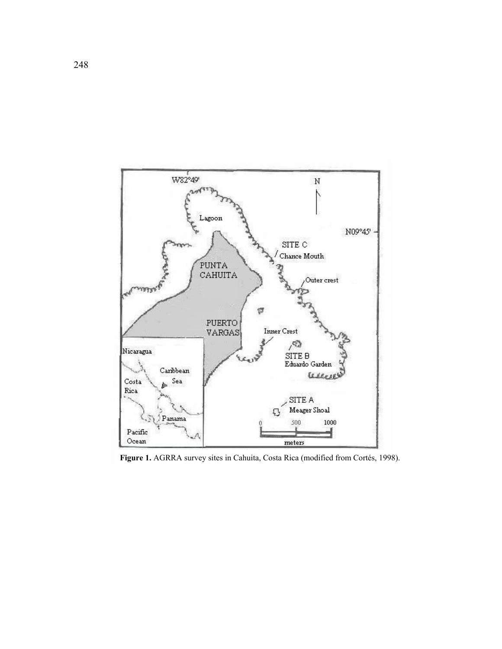

**Figure 1.** AGRRA survey sites in Cahuita, Costa Rica (modified from Cortés, 1998).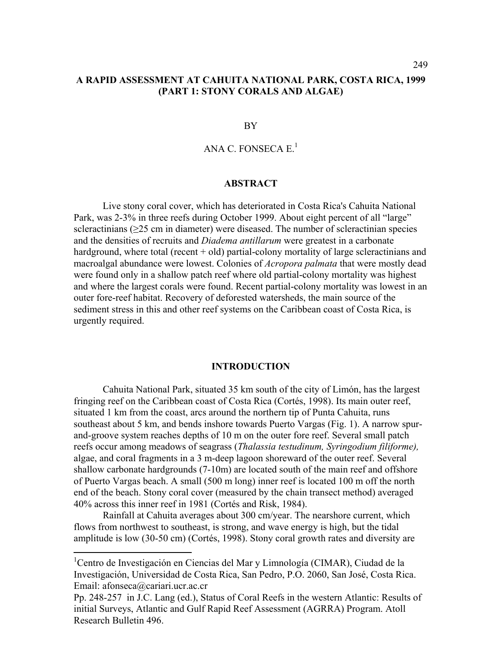## **A RAPID ASSESSMENT AT CAHUITA NATIONAL PARK, COSTA RICA, 1999 (PART 1: STONY CORALS AND ALGAE)**

#### BY

# ANA C. FONSECA  $E<sup>1</sup>$

#### **ABSTRACT**

Live stony coral cover, which has deteriorated in Costa Rica's Cahuita National Park, was 2-3% in three reefs during October 1999. About eight percent of all "large" scleractinians ( $\geq$ 25 cm in diameter) were diseased. The number of scleractinian species and the densities of recruits and *Diadema antillarum* were greatest in a carbonate hardground, where total (recent  $+$  old) partial-colony mortality of large scleractinians and macroalgal abundance were lowest. Colonies of *Acropora palmata* that were mostly dead were found only in a shallow patch reef where old partial-colony mortality was highest and where the largest corals were found. Recent partial-colony mortality was lowest in an outer fore-reef habitat. Recovery of deforested watersheds, the main source of the sediment stress in this and other reef systems on the Caribbean coast of Costa Rica, is urgently required.

### **INTRODUCTION**

 Cahuita National Park, situated 35 km south of the city of Limón, has the largest fringing reef on the Caribbean coast of Costa Rica (Cortés, 1998). Its main outer reef, situated 1 km from the coast, arcs around the northern tip of Punta Cahuita, runs southeast about 5 km, and bends inshore towards Puerto Vargas (Fig. 1). A narrow spurand-groove system reaches depths of 10 m on the outer fore reef. Several small patch reefs occur among meadows of seagrass (*Thalassia testudinum, Syringodium filiforme),*  algae, and coral fragments in a 3 m-deep lagoon shoreward of the outer reef. Several shallow carbonate hardgrounds (7-10m) are located south of the main reef and offshore of Puerto Vargas beach. A small (500 m long) inner reef is located 100 m off the north end of the beach. Stony coral cover (measured by the chain transect method) averaged 40% across this inner reef in 1981 (Cortés and Risk, 1984).

Rainfall at Cahuita averages about 300 cm/year. The nearshore current, which flows from northwest to southeast, is strong, and wave energy is high, but the tidal amplitude is low (30-50 cm) (Cortés, 1998). Stony coral growth rates and diversity are

<sup>&</sup>lt;sup>1</sup>Centro de Investigación en Ciencias del Mar y Limnología (CIMAR), Ciudad de la Investigación, Universidad de Costa Rica, San Pedro, P.O. 2060, San José, Costa Rica. Email: afonseca@cariari.ucr.ac.cr

Pp. 248-257 in J.C. Lang (ed.), Status of Coral Reefs in the western Atlantic: Results of initial Surveys, Atlantic and Gulf Rapid Reef Assessment (AGRRA) Program. Atoll Research Bulletin 496.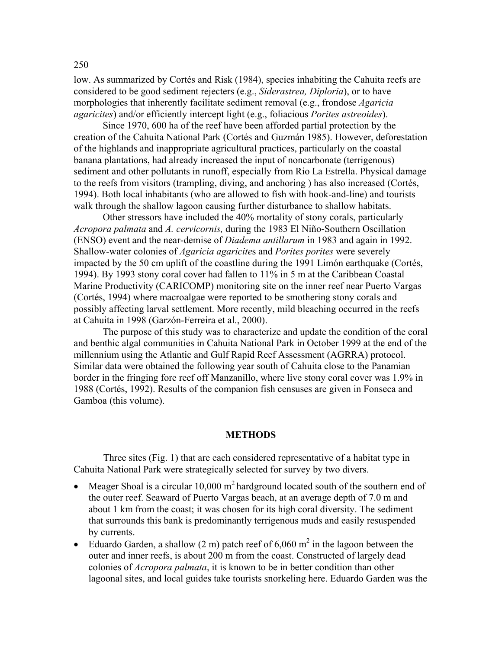low. As summarized by Cortés and Risk (1984), species inhabiting the Cahuita reefs are considered to be good sediment rejecters (e.g., *Siderastrea, Diploria*), or to have morphologies that inherently facilitate sediment removal (e.g., frondose *Agaricia agaricites*) and/or efficiently intercept light (e.g., foliacious *Porites astreoides*).

Since 1970, 600 ha of the reef have been afforded partial protection by the creation of the Cahuita National Park (Cortés and Guzmán 1985). However, deforestation of the highlands and inappropriate agricultural practices, particularly on the coastal banana plantations, had already increased the input of noncarbonate (terrigenous) sediment and other pollutants in runoff, especially from Rio La Estrella. Physical damage to the reefs from visitors (trampling, diving, and anchoring ) has also increased (Cortés, 1994). Both local inhabitants (who are allowed to fish with hook-and-line) and tourists walk through the shallow lagoon causing further disturbance to shallow habitats.

Other stressors have included the 40% mortality of stony corals, particularly *Acropora palmata* and *A. cervicornis,* during the 1983 El Niño-Southern Oscillation (ENSO) event and the near-demise of *Diadema antillarum* in 1983 and again in 1992. Shallow-water colonies of *Agaricia agaricite*s and *Porites porites* were severely impacted by the 50 cm uplift of the coastline during the 1991 Limón earthquake (Cortés, 1994). By 1993 stony coral cover had fallen to 11% in 5 m at the Caribbean Coastal Marine Productivity (CARICOMP) monitoring site on the inner reef near Puerto Vargas (Cortés, 1994) where macroalgae were reported to be smothering stony corals and possibly affecting larval settlement. More recently, mild bleaching occurred in the reefs at Cahuita in 1998 (Garzón-Ferreira et al., 2000).

The purpose of this study was to characterize and update the condition of the coral and benthic algal communities in Cahuita National Park in October 1999 at the end of the millennium using the Atlantic and Gulf Rapid Reef Assessment (AGRRA) protocol. Similar data were obtained the following year south of Cahuita close to the Panamian border in the fringing fore reef off Manzanillo, where live stony coral cover was 1.9% in 1988 (Cortés, 1992). Results of the companion fish censuses are given in Fonseca and Gamboa (this volume).

### **METHODS**

Three sites (Fig. 1) that are each considered representative of a habitat type in Cahuita National Park were strategically selected for survey by two divers.

- Meager Shoal is a circular  $10,000 \text{ m}^2$  hardground located south of the southern end of the outer reef. Seaward of Puerto Vargas beach, at an average depth of 7.0 m and about 1 km from the coast; it was chosen for its high coral diversity. The sediment that surrounds this bank is predominantly terrigenous muds and easily resuspended by currents.
- Eduardo Garden, a shallow (2 m) patch reef of  $6,060 \text{ m}^2$  in the lagoon between the outer and inner reefs, is about 200 m from the coast. Constructed of largely dead colonies of *Acropora palmata*, it is known to be in better condition than other lagoonal sites, and local guides take tourists snorkeling here. Eduardo Garden was the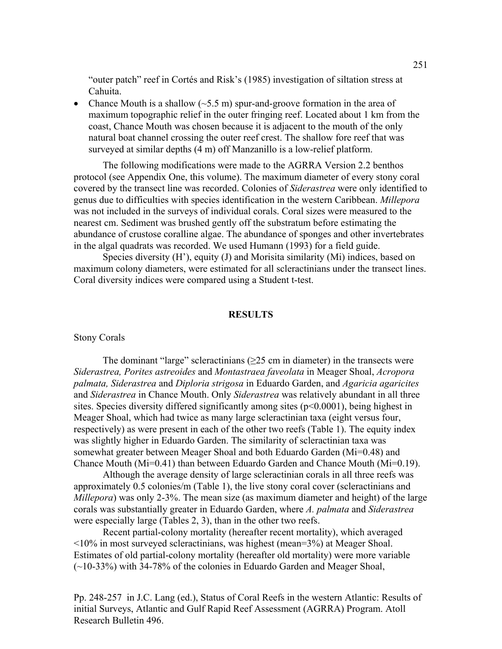"outer patch" reef in Cortés and Risk's (1985) investigation of siltation stress at Cahuita.

• Chance Mouth is a shallow  $(\sim 5.5 \text{ m})$  spur-and-groove formation in the area of maximum topographic relief in the outer fringing reef. Located about 1 km from the coast, Chance Mouth was chosen because it is adjacent to the mouth of the only natural boat channel crossing the outer reef crest. The shallow fore reef that was surveyed at similar depths (4 m) off Manzanillo is a low-relief platform.

The following modifications were made to the AGRRA Version 2.2 benthos protocol (see Appendix One, this volume). The maximum diameter of every stony coral covered by the transect line was recorded. Colonies of *Siderastrea* were only identified to genus due to difficulties with species identification in the western Caribbean. *Millepora* was not included in the surveys of individual corals. Coral sizes were measured to the nearest cm. Sediment was brushed gently off the substratum before estimating the abundance of crustose coralline algae. The abundance of sponges and other invertebrates in the algal quadrats was recorded. We used Humann (1993) for a field guide.

Species diversity (H<sup>'</sup>), equity (J) and Morisita similarity (Mi) indices, based on maximum colony diameters, were estimated for all scleractinians under the transect lines. Coral diversity indices were compared using a Student t-test.

### **RESULTS**

#### Stony Corals

The dominant "large" scleractinians  $(\geq 25 \text{ cm})$  in diameter) in the transects were *Siderastrea, Porites astreoides* and *Montastraea faveolata* in Meager Shoal, *Acropora palmata, Siderastrea* and *Diploria strigosa* in Eduardo Garden, and *Agaricia agaricites* and *Siderastrea* in Chance Mouth. Only *Siderastrea* was relatively abundant in all three sites. Species diversity differed significantly among sites (p<0.0001), being highest in Meager Shoal, which had twice as many large scleractinian taxa (eight versus four, respectively) as were present in each of the other two reefs (Table 1). The equity index was slightly higher in Eduardo Garden. The similarity of scleractinian taxa was somewhat greater between Meager Shoal and both Eduardo Garden (Mi=0.48) and Chance Mouth (Mi=0.41) than between Eduardo Garden and Chance Mouth (Mi=0.19).

Although the average density of large scleractinian corals in all three reefs was approximately 0.5 colonies/m (Table 1), the live stony coral cover (scleractinians and *Millepora*) was only 2-3%. The mean size (as maximum diameter and height) of the large corals was substantially greater in Eduardo Garden, where *A. palmata* and *Siderastrea* were especially large (Tables 2, 3), than in the other two reefs.

Recent partial-colony mortality (hereafter recent mortality), which averaged <10% in most surveyed scleractinians, was highest (mean=3%) at Meager Shoal. Estimates of old partial-colony mortality (hereafter old mortality) were more variable (~10-33%) with 34-78% of the colonies in Eduardo Garden and Meager Shoal,

Pp. 248-257 in J.C. Lang (ed.), Status of Coral Reefs in the western Atlantic: Results of initial Surveys, Atlantic and Gulf Rapid Reef Assessment (AGRRA) Program. Atoll Research Bulletin 496.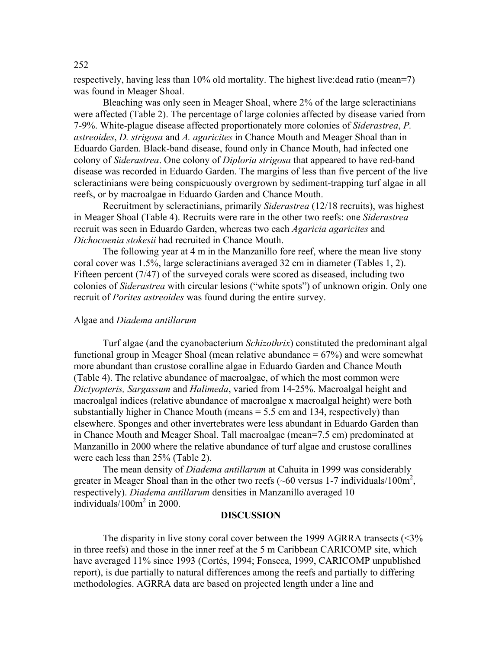respectively, having less than 10% old mortality. The highest live:dead ratio (mean=7) was found in Meager Shoal.

Bleaching was only seen in Meager Shoal, where 2% of the large scleractinians were affected (Table 2). The percentage of large colonies affected by disease varied from 7-9%. White-plague disease affected proportionately more colonies of *Siderastrea*, *P. astreoides*, *D. strigosa* and *A. agaricites* in Chance Mouth and Meager Shoal than in Eduardo Garden. Black-band disease, found only in Chance Mouth, had infected one colony of *Siderastrea*. One colony of *Diploria strigosa* that appeared to have red-band disease was recorded in Eduardo Garden. The margins of less than five percent of the live scleractinians were being conspicuously overgrown by sediment-trapping turf algae in all reefs, or by macroalgae in Eduardo Garden and Chance Mouth.

Recruitment by scleractinians, primarily *Siderastrea* (12/18 recruits), was highest in Meager Shoal (Table 4). Recruits were rare in the other two reefs: one *Siderastrea* recruit was seen in Eduardo Garden, whereas two each *Agaricia agaricites* and *Dichocoenia stokesii* had recruited in Chance Mouth.

The following year at 4 m in the Manzanillo fore reef, where the mean live stony coral cover was 1.5%, large scleractinians averaged 32 cm in diameter (Tables 1, 2). Fifteen percent (7/47) of the surveyed corals were scored as diseased, including two colonies of *Siderastrea* with circular lesions ("white spots") of unknown origin. Only one recruit of *Porites astreoides* was found during the entire survey.

### Algae and *Diadema antillarum*

Turf algae (and the cyanobacterium *Schizothrix*) constituted the predominant algal functional group in Meager Shoal (mean relative abundance  $= 67\%$ ) and were somewhat more abundant than crustose coralline algae in Eduardo Garden and Chance Mouth (Table 4). The relative abundance of macroalgae, of which the most common were *Dictyopteris, Sargassum* and *Halimeda*, varied from 14-25%. Macroalgal height and macroalgal indices (relative abundance of macroalgae x macroalgal height) were both substantially higher in Chance Mouth (means = 5.5 cm and 134, respectively) than elsewhere. Sponges and other invertebrates were less abundant in Eduardo Garden than in Chance Mouth and Meager Shoal. Tall macroalgae (mean=7.5 cm) predominated at Manzanillo in 2000 where the relative abundance of turf algae and crustose corallines were each less than 25% (Table 2).

The mean density of *Diadema antillarum* at Cahuita in 1999 was considerably greater in Meager Shoal than in the other two reefs ( $\sim 60$  versus 1-7 individuals/100 $\text{m}^2$ , respectively). *Diadema antillarum* densities in Manzanillo averaged 10 individuals/100m<sup>2</sup> in 2000.

### **DISCUSSION**

The disparity in live stony coral cover between the 1999 AGRRA transects  $\langle \langle 3 \rangle \rangle$ in three reefs) and those in the inner reef at the 5 m Caribbean CARICOMP site, which have averaged 11% since 1993 (Cortés, 1994; Fonseca, 1999, CARICOMP unpublished report), is due partially to natural differences among the reefs and partially to differing methodologies. AGRRA data are based on projected length under a line and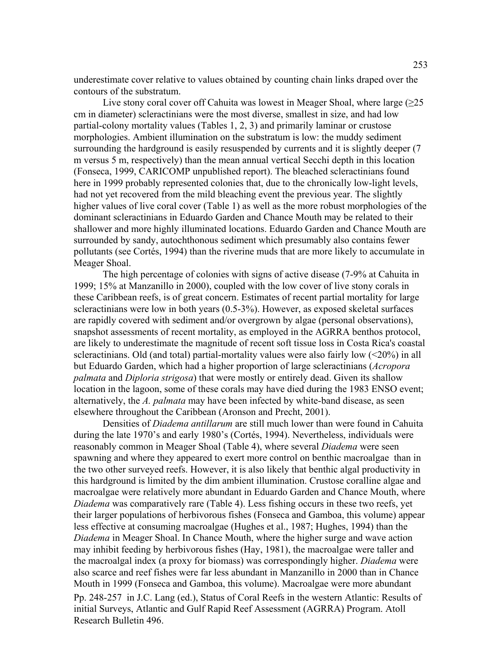underestimate cover relative to values obtained by counting chain links draped over the contours of the substratum.

Live stony coral cover off Cahuita was lowest in Meager Shoal, where large  $(\geq 25)$ cm in diameter) scleractinians were the most diverse, smallest in size, and had low partial-colony mortality values (Tables 1, 2, 3) and primarily laminar or crustose morphologies. Ambient illumination on the substratum is low: the muddy sediment surrounding the hardground is easily resuspended by currents and it is slightly deeper (7 m versus 5 m, respectively) than the mean annual vertical Secchi depth in this location (Fonseca, 1999, CARICOMP unpublished report). The bleached scleractinians found here in 1999 probably represented colonies that, due to the chronically low-light levels, had not yet recovered from the mild bleaching event the previous year. The slightly higher values of live coral cover (Table 1) as well as the more robust morphologies of the dominant scleractinians in Eduardo Garden and Chance Mouth may be related to their shallower and more highly illuminated locations. Eduardo Garden and Chance Mouth are surrounded by sandy, autochthonous sediment which presumably also contains fewer pollutants (see Cortés, 1994) than the riverine muds that are more likely to accumulate in Meager Shoal.

The high percentage of colonies with signs of active disease (7-9% at Cahuita in 1999; 15% at Manzanillo in 2000), coupled with the low cover of live stony corals in these Caribbean reefs, is of great concern. Estimates of recent partial mortality for large scleractinians were low in both years (0.5-3%). However, as exposed skeletal surfaces are rapidly covered with sediment and/or overgrown by algae (personal observations), snapshot assessments of recent mortality, as employed in the AGRRA benthos protocol, are likely to underestimate the magnitude of recent soft tissue loss in Costa Rica's coastal scleractinians. Old (and total) partial-mortality values were also fairly low (<20%) in all but Eduardo Garden, which had a higher proportion of large scleractinians (*Acropora palmata* and *Diploria strigosa*) that were mostly or entirely dead. Given its shallow location in the lagoon, some of these corals may have died during the 1983 ENSO event; alternatively, the *A. palmata* may have been infected by white-band disease, as seen elsewhere throughout the Caribbean (Aronson and Precht, 2001).

Pp. 248-257 in J.C. Lang (ed.), Status of Coral Reefs in the western Atlantic: Results of initial Surveys, Atlantic and Gulf Rapid Reef Assessment (AGRRA) Program. Atoll Research Bulletin 496. Densities of *Diadema antillarum* are still much lower than were found in Cahuita during the late 1970's and early 1980's (Cortés, 1994). Nevertheless, individuals were reasonably common in Meager Shoal (Table 4), where several *Diadema* were seen spawning and where they appeared to exert more control on benthic macroalgae than in the two other surveyed reefs. However, it is also likely that benthic algal productivity in this hardground is limited by the dim ambient illumination. Crustose coralline algae and macroalgae were relatively more abundant in Eduardo Garden and Chance Mouth, where *Diadema* was comparatively rare (Table 4). Less fishing occurs in these two reefs, yet their larger populations of herbivorous fishes (Fonseca and Gamboa, this volume) appear less effective at consuming macroalgae (Hughes et al., 1987; Hughes, 1994) than the *Diadema* in Meager Shoal. In Chance Mouth, where the higher surge and wave action may inhibit feeding by herbivorous fishes (Hay, 1981), the macroalgae were taller and the macroalgal index (a proxy for biomass) was correspondingly higher. *Diadema* were also scarce and reef fishes were far less abundant in Manzanillo in 2000 than in Chance Mouth in 1999 (Fonseca and Gamboa, this volume). Macroalgae were more abundant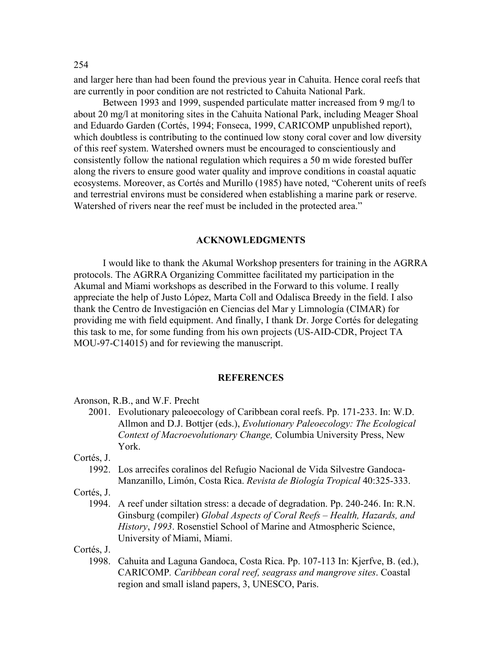and larger here than had been found the previous year in Cahuita. Hence coral reefs that are currently in poor condition are not restricted to Cahuita National Park.

Between 1993 and 1999, suspended particulate matter increased from 9 mg/l to about 20 mg/l at monitoring sites in the Cahuita National Park, including Meager Shoal and Eduardo Garden (Cortés, 1994; Fonseca, 1999, CARICOMP unpublished report), which doubtless is contributing to the continued low stony coral cover and low diversity of this reef system. Watershed owners must be encouraged to conscientiously and consistently follow the national regulation which requires a 50 m wide forested buffer along the rivers to ensure good water quality and improve conditions in coastal aquatic ecosystems. Moreover, as Cortés and Murillo (1985) have noted, "Coherent units of reefs and terrestrial environs must be considered when establishing a marine park or reserve. Watershed of rivers near the reef must be included in the protected area."

### **ACKNOWLEDGMENTS**

I would like to thank the Akumal Workshop presenters for training in the AGRRA protocols. The AGRRA Organizing Committee facilitated my participation in the Akumal and Miami workshops as described in the Forward to this volume. I really appreciate the help of Justo López, Marta Coll and Odalisca Breedy in the field. I also thank the Centro de Investigación en Ciencias del Mar y Limnología (CIMAR) for providing me with field equipment. And finally, I thank Dr. Jorge Cortés for delegating this task to me, for some funding from his own projects (US-AID-CDR, Project TA MOU-97-C14015) and for reviewing the manuscript.

### **REFERENCES**

Aronson, R.B., and W.F. Precht

 2001. Evolutionary paleoecology of Caribbean coral reefs. Pp. 171-233. In: W.D. Allmon and D.J. Bottjer (eds.), *Evolutionary Paleoecology: The Ecological Context of Macroevolutionary Change,* Columbia University Press, New York.

Cortés, J.

 1992. Los arrecifes coralinos del Refugio Nacional de Vida Silvestre Gandoca-Manzanillo, Limón, Costa Rica. *Revista de Biología Tropical* 40:325-333.

Cortés, J.

 1994. A reef under siltation stress: a decade of degradation. Pp. 240-246. In: R.N. Ginsburg (compiler) *Global Aspects of Coral Reefs – Health, Hazards, and History*, *1993*. Rosenstiel School of Marine and Atmospheric Science, University of Miami, Miami.

Cortés, J.

 1998. Cahuita and Laguna Gandoca, Costa Rica. Pp. 107-113 In: Kjerfve, B. (ed.), CARICOMP*. Caribbean coral reef, seagrass and mangrove sites*. Coastal region and small island papers, 3, UNESCO, Paris.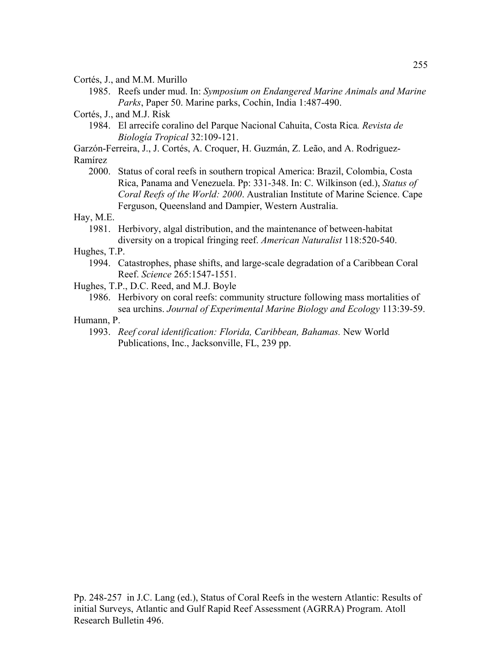Cortés, J., and M.M. Murillo

1985. Reefs under mud. In: *Symposium on Endangered Marine Animals and Marine Parks*, Paper 50. Marine parks, Cochin, India 1:487-490.

Cortés, J., and M.J. Risk

 1984. El arrecife coralino del Parque Nacional Cahuita, Costa Rica*. Revista de Biología Tropical* 32:109-121.

Garzón-Ferreira, J., J. Cortés, A. Croquer, H. Guzmán, Z. Leão, and A. Rodriguez-Ramírez

 2000. Status of coral reefs in southern tropical America: Brazil, Colombia, Costa Rica, Panama and Venezuela. Pp: 331-348. In: C. Wilkinson (ed.), *Status of Coral Reefs of the World: 2000*. Australian Institute of Marine Science. Cape Ferguson, Queensland and Dampier, Western Australia.

Hay, M.E.

 1981. Herbivory, algal distribution, and the maintenance of between-habitat diversity on a tropical fringing reef. *American Naturalist* 118:520-540.

Hughes, T.P.

- 1994. Catastrophes, phase shifts, and large-scale degradation of a Caribbean Coral Reef. *Science* 265:1547-1551.
- Hughes, T.P., D.C. Reed, and M.J. Boyle
	- 1986. Herbivory on coral reefs: community structure following mass mortalities of sea urchins. *Journal of Experimental Marine Biology and Ecology* 113:39-59.

# Humann, P.

 1993. *Reef coral identification: Florida, Caribbean, Bahamas.* New World Publications, Inc., Jacksonville, FL, 239 pp.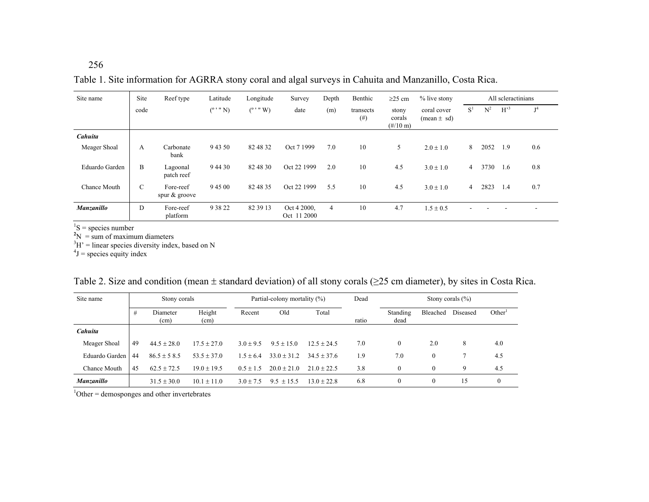256

Table 1. Site information for AGRRA stony coral and algal surveys in Cahuita and Manzanillo, Costa Rica.

| Site name         | Site | Reef type                     | Latitude           | Longitude          | Survey                     | Depth          | Benthic               | $\geq$ 25 cm                                   | % live stony                   |       | All scleractinians |       |                           |
|-------------------|------|-------------------------------|--------------------|--------------------|----------------------------|----------------|-----------------------|------------------------------------------------|--------------------------------|-------|--------------------|-------|---------------------------|
|                   | code |                               | $(^{\circ}$ ' " N) | $(^{\circ}$ ' " W) | date                       | (m)            | transects<br>$^{(#)}$ | stony<br>corals<br>$(\frac{\#}{10} \text{ m})$ | coral cover<br>$(mean \pm sd)$ | $S^1$ | $N^2$              | $H^3$ | $\mathbf{r}$ <sup>4</sup> |
| Cahuita           |      |                               |                    |                    |                            |                |                       |                                                |                                |       |                    |       |                           |
| Meager Shoal      | A    | Carbonate<br>bank             | 9 43 50            | 82 48 32           | Oct 7 1999                 | 7.0            | 10                    | 5                                              | $2.0 \pm 1.0$                  | 8     | 2052               | 1.9   | 0.6                       |
| Eduardo Garden    | B    | Lagoonal<br>patch reef        | 9 4 4 3 0          | 82 48 30           | Oct 22 1999                | 2.0            | 10                    | 4.5                                            | $3.0 \pm 1.0$                  | 4     | 3730               | 1.6   | 0.8                       |
| Chance Mouth      | C    | Fore-reef<br>spur $\&$ groove | 9 45 00            | 82 48 35           | Oct 22 1999                | 5.5            | 10                    | 4.5                                            | $3.0 \pm 1.0$                  | 4     | 2823               | 1.4   | 0.7                       |
| <b>Manzanillo</b> | D    | Fore-reef<br>platform         | 9 38 22            | 82 39 13           | Oct 4 2000,<br>Oct 11 2000 | $\overline{4}$ | 10                    | 4.7                                            | $1.5 \pm 0.5$                  |       |                    |       | ۰                         |

 ${}^{1}S$  = species number

 $2^2N = \text{sum of maximum diameters}$ <br> $3^3H' = \text{linear species diversity index, based on } N$ 

 $4J$  = species equity index

|  | Table 2. Size and condition (mean $\pm$ standard deviation) of all stony corals ( $\geq$ 25 cm diameter), by sites in Costa Rica. |  |  |  |  |
|--|-----------------------------------------------------------------------------------------------------------------------------------|--|--|--|--|
|  |                                                                                                                                   |  |  |  |  |

| Site name      | Stony corals |                  | Partial-colony mortality (%) |               |                | Dead          | Stony corals $(\% )$ |                  |              |          |                    |
|----------------|--------------|------------------|------------------------------|---------------|----------------|---------------|----------------------|------------------|--------------|----------|--------------------|
|                | #            | Diameter<br>(cm) | Height<br>(cm)               | Recent        | Old            | Total         | ratio                | Standing<br>dead | Bleached     | Diseased | Other <sup>1</sup> |
| Cahuita        |              |                  |                              |               |                |               |                      |                  |              |          |                    |
| Meager Shoal   | 49           | $44.5 \pm 28.0$  | $17.5 \pm 27.0$              | $3.0 \pm 9.5$ | $9.5 + 15.0$   | $12.5 + 24.5$ | 7.0                  | $\theta$         | 2.0          | 8        | 4.0                |
| Eduardo Garden | 44           | $86.5 \pm 58.5$  | $53.5 + 37.0$                | $1.5 + 6.4$   | $33.0 + 31.2$  | $34.5 + 37.6$ | 1.9                  | 7.0              | $\mathbf{0}$ |          | 4.5                |
| Chance Mouth   | 45           | $62.5 \pm 72.5$  | $19.0 \pm 19.5$              | $0.5 \pm 1.5$ | $20.0 + 21.0$  | $21.0 + 22.5$ | 3.8                  | $\theta$         | $\mathbf{0}$ | 9        | 4.5                |
| Manzanillo     |              | $31.5 \pm 30.0$  | $10.1 \pm 11.0$              | $3.0 + 7.5$   | $9.5 \pm 15.5$ | $13.0 + 22.8$ | 6.8                  | 0                | $\mathbf{0}$ | 15       | $\mathbf{0}$       |

 $1$ Other = demosponges and other invertebrates